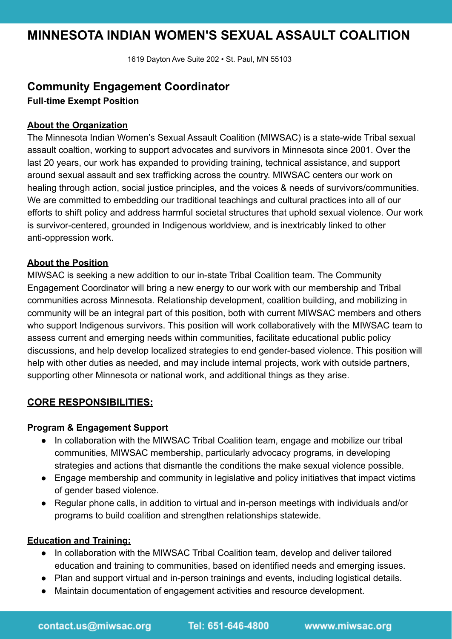# **MINNESOTA INDIAN WOMEN'S SEXUAL ASSAULT COALITION**

1619 Dayton Ave Suite 202 • St. Paul, MN 55103

## **Community Engagement Coordinator**

**Full-time Exempt Position**

#### **About the Organization**

The Minnesota Indian Women's Sexual Assault Coalition (MIWSAC) is a state-wide Tribal sexual assault coaltion, working to support advocates and survivors in Minnesota since 2001. Over the last 20 years, our work has expanded to providing training, technical assistance, and support around sexual assault and sex trafficking across the country. MIWSAC centers our work on healing through action, social justice principles, and the voices & needs of survivors/communities. We are committed to embedding our traditional teachings and cultural practices into all of our efforts to shift policy and address harmful societal structures that uphold sexual violence. Our work is survivor-centered, grounded in Indigenous worldview, and is inextricably linked to other anti-oppression work.

#### **About the Position**

MIWSAC is seeking a new addition to our in-state Tribal Coalition team. The Community Engagement Coordinator will bring a new energy to our work with our membership and Tribal communities across Minnesota. Relationship development, coalition building, and mobilizing in community will be an integral part of this position, both with current MIWSAC members and others who support Indigenous survivors. This position will work collaboratively with the MIWSAC team to assess current and emerging needs within communities, facilitate educational public policy discussions, and help develop localized strategies to end gender-based violence. This position will help with other duties as needed, and may include internal projects, work with outside partners, supporting other Minnesota or national work, and additional things as they arise.

### **CORE RESPONSIBILITIES:**

#### **Program & Engagement Support**

- In collaboration with the MIWSAC Tribal Coalition team, engage and mobilize our tribal communities, MIWSAC membership, particularly advocacy programs, in developing strategies and actions that dismantle the conditions the make sexual violence possible.
- Engage membership and community in legislative and policy initiatives that impact victims of gender based violence.
- Regular phone calls, in addition to virtual and in-person meetings with individuals and/or programs to build coalition and strengthen relationships statewide.

#### **Education and Training:**

- In collaboration with the MIWSAC Tribal Coalition team, develop and deliver tailored education and training to communities, based on identified needs and emerging issues.
- Plan and support virtual and in-person trainings and events, including logistical details.
- Maintain documentation of engagement activities and resource development.